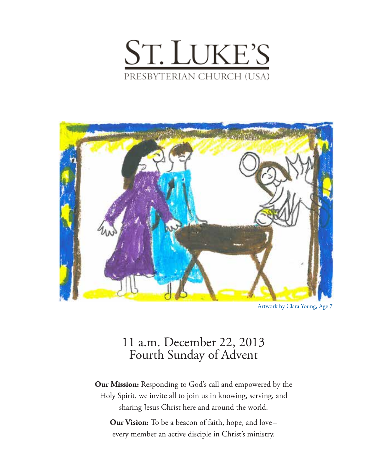



Artwork by Clara Young, Age 7

# 11 a.m. December 22, 2013 Fourth Sunday of Advent

**Our Mission:** Responding to God's call and empowered by the Holy Spirit, we invite all to join us in knowing, serving, and sharing Jesus Christ here and around the world.

**Our Vision:** To be a beacon of faith, hope, and love – every member an active disciple in Christ's ministry.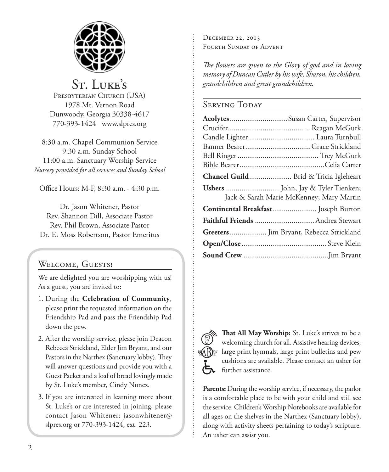

St. LUKE'S PRESBYTERIAN CHURCH (USA) 1978 Mt. Vernon Road Dunwoody, Georgia 30338-4617 770-393-1424 www.slpres.org

8:30 a.m. Chapel Communion Service 9:30 a.m. Sunday School 11:00 a.m. Sanctuary Worship Service *Nursery provided for all services and Sunday School*

Office Hours: M-F, 8:30 a.m. - 4:30 p.m.

Dr. Jason Whitener, Pastor Rev. Shannon Dill, Associate Pastor Rev. Phil Brown, Associate Pastor Dr. E. Moss Robertson, Pastor Emeritus

# Welcome, Guests!

We are delighted you are worshipping with us! As a guest, you are invited to:

- 1. During the **Celebration of Community**, please print the requested information on the Friendship Pad and pass the Friendship Pad down the pew.
- 2. After the worship service, please join Deacon Rebecca Strickland, Elder Jim Bryant, and our Pastors in the Narthex (Sanctuary lobby). They will answer questions and provide you with a Guest Packet and a loaf of bread lovingly made by St. Luke's member, Cindy Nunez.
- 3. If you are interested in learning more about St. Luke's or are interested in joining, please contact Jason Whitener: jasonwhitener@ slpres.org or 770-393-1424, ext. 223.

December 22, 2013 Fourth Sunday of Advent

*The flowers are given to the Glory of god and in loving memory of Duncan Cutler by his wife, Sharon, his children, grandchildren and great grandchildren.*

# SERVING TODAY

| Acolytes Susan Carter, Supervisor        |                                          |
|------------------------------------------|------------------------------------------|
|                                          |                                          |
| Candle Lighter  Laura Turnbull           |                                          |
|                                          |                                          |
|                                          |                                          |
|                                          |                                          |
| Chancel Guild Brid & Tricia Igleheart    |                                          |
|                                          | Jack & Sarah Marie McKenney; Mary Martin |
| Continental Breakfast Joseph Burton      |                                          |
|                                          |                                          |
| Greeters  Jim Bryant, Rebecca Strickland |                                          |
|                                          |                                          |
|                                          |                                          |



**That All May Worship:** St. Luke's strives to be a welcoming church for all. Assistive hearing devices, large print hymnals, large print bulletins and pew cushions are available. Please contact an usher for further assistance.

**Parents:** During the worship service, if necessary, the parlor is a comfortable place to be with your child and still see the service. Children's Worship Notebooks are available for all ages on the shelves in the Narthex (Sanctuary lobby), along with activity sheets pertaining to today's scripture. An usher can assist you.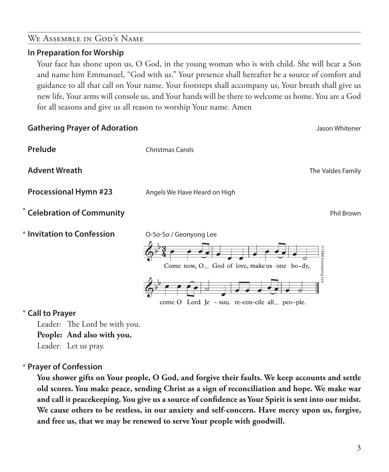### We Assemble in God's Name

#### **In Preparation for Worship**

 Your face has shone upon us, O God, in the young woman who is with child. She will bear a Son and name him Emmanuel, "God with us." Your presence shall hereafter be a source of comfort and guidance to all that call on Your name. Your footsteps shall accompany us, Your breath shall give us new life, Your arms will console us, and Your hands will be there to welcome us home. You are a God for all seasons and give us all reason to worship Your name. Amen



#### **Call to Prayer**  \*

Leader: The Lord be with you. **People: And also with you.** Leader: Let us pray.

# **Prayer of Confession**  \*

 **You shower gifts on Your people, O God, and forgive their faults. We keep accounts and settle old scores. You make peace, sending Christ as a sign of reconciliation and hope. We make war and call it peacekeeping. You give us a source of confidence as Your Spirit is sent into our midst. We cause others to be restless, in our anxiety and self-concern. Have mercy upon us, forgive, and free us, that we may be renewed to serve Your people with goodwill.**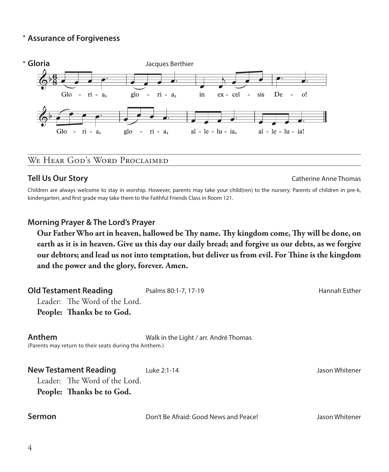# **Assurance of Forgiveness** \*



**Tell Us Our Story** Catherine Anne Thomas Catherine Anne Thomas Catherine Anne Thomas Catherine Anne Thomas Catherine Anne Thomas Catherine Anne Thomas Catherine Anne Thomas Catherine Anne Thomas Catherine Anne Thomas Cath

Children are always welcome to stay in worship. However, parents may take your child(ren) to the nursery. Parents of children in pre-k, kindergarten, and first grade may take them to the Faithful Friends Class in Room 121.

#### **Morning Prayer & The Lord's Prayer**

 **Our Father Who art in heaven, hallowed be Thy name. Thy kingdom come, Thy will be done, on earth as it is in heaven. Give us this day our daily bread; and forgive us our debts, as we forgive our debtors; and lead us not into temptation, but deliver us from evil. For Thine is the kingdom and the power and the glory, forever. Amen.**

| <b>Old Testament Reading</b><br>Leader: The Word of the Lord.<br>People: Thanks be to God. | Psalms 80:1-7, 17-19                  | Hannah Esther  |
|--------------------------------------------------------------------------------------------|---------------------------------------|----------------|
| Anthem<br>(Parents may return to their seats during the Anthem.)                           | Walk in the Light / arr. André Thomas |                |
| <b>New Testament Reading</b><br>Leader: The Word of the Lord.<br>People: Thanks be to God. | Luke 2:1-14                           | Jason Whitener |
| Sermon                                                                                     | Don't Be Afraid: Good News and Peace! | Jason Whitener |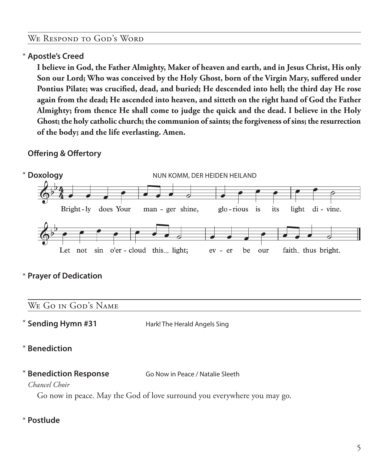#### We Respond to God's Word

# **Apostle's Creed** \*

 **I believe in God, the Father Almighty, Maker of heaven and earth, and in Jesus Christ, His only Son our Lord; Who was conceived by the Holy Ghost, born of the Virgin Mary, suffered under Pontius Pilate; was crucified, dead, and buried; He descended into hell; the third day He rose again from the dead; He ascended into heaven, and sitteth on the right hand of God the Father Almighty; from thence He shall come to judge the quick and the dead. I believe in the Holy Ghost; the holy catholic church; the communion of saints; the forgiveness of sins; the resurrection of the body; and the life everlasting. Amen.**

# **Offering & Offertory**



# **Prayer of Dedication** \*

### We Go in God's Name

**Sending Hymn #31** Hark! The Herald Angels Sing \* Sending Hymn #31

- **Benediction** \*
- \* **Benediction Response Go Now in Peace / Natalie Sleeth**

### *Chancel Choir*

Go now in peace. May the God of love surround you everywhere you may go.

#### **Postlude** \*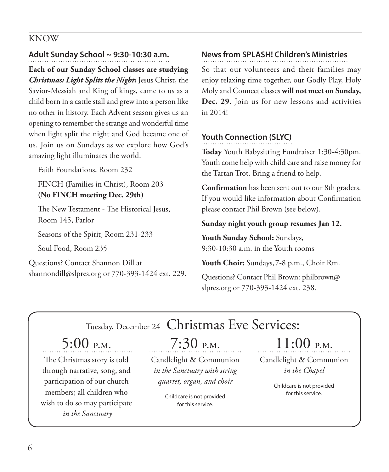#### KNOW

# **Adult Sunday School ~ 9:30-10:30 a.m.**

**Each of our Sunday School classes are studying**  *Christmas: Light Splits the Night:* Jesus Christ, the Savior-Messiah and King of kings, came to us as a child born in a cattle stall and grew into a person like no other in history. Each Advent season gives us an opening to remember the strange and wonderful time when light split the night and God became one of us. Join us on Sundays as we explore how God's amazing light illuminates the world.

Faith Foundations, Room 232

FINCH (Families in Christ), Room 203 **(No FINCH meeting Dec. 29th)**

 The New Testament - The Historical Jesus, Room 145, Parlor

Seasons of the Spirit, Room 231-233

Soul Food, Room 235

Questions? Contact Shannon Dill at shannondill@slpres.org or 770-393-1424 ext. 229.

# **News from SPLASH! Children's Ministries**

So that our volunteers and their families may enjoy relaxing time together, our Godly Play, Holy Moly and Connect classes **will not meet on Sunday, Dec. 29**. Join us for new lessons and activities in 2014!

# **Youth Connection (SLYC)**

**Today** Youth Babysitting Fundraiser 1:30-4:30pm. Youth come help with child care and raise money for the Tartan Trot. Bring a friend to help.

**Confirmation** has been sent out to our 8th graders. If you would like information about Confirmation please contact Phil Brown (see below).

### **Sunday night youth group resumes Jan 12.**

**Youth Sunday School:** Sundays, 9:30-10:30 a.m. in the Youth rooms

**Youth Choir:** Sundays, 7-8 p.m., Choir Rm.

Questions? Contact Phil Brown: philbrown@ slpres.org or 770-393-1424 ext. 238.

# Tuesday, December 24 Christmas Eve Services:

# 5:00 p.m.

The Christmas story is told through narrative, song, and participation of our church members; all children who wish to do so may participate  *in the Sanctuary*

7:30 p.m.

Candlelight & Communion *in the Sanctuary with string quartet, organ, and choir*

> Childcare is not provided for this service.

# $11:00$  p.m.

Candlelight & Communion *in the Chapel*

> Childcare is not provided for this service.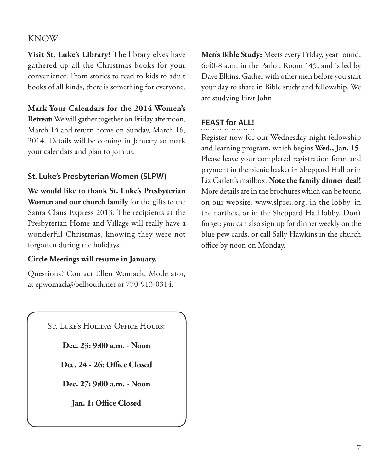# KNOW

**Visit St. Luke's Library!** The library elves have gathered up all the Christmas books for your convenience. From stories to read to kids to adult books of all kinds, there is something for everyone.

**Mark Your Calendars for the 2014 Women's Retreat:** We will gather together on Friday afternoon, March 14 and return home on Sunday, March 16, 2014. Details will be coming in January so mark your calendars and plan to join us.

### **St. Luke's Presbyterian Women (SLPW)**

**We would like to thank St. Luke's Presbyterian Women and our church family** for the gifts to the Santa Claus Express 2013. The recipients at the Presbyterian Home and Village will really have a wonderful Christmas, knowing they were not forgotten during the holidays.

#### **Circle Meetings will resume in January.**

Questions? Contact Ellen Womack, Moderator, at epwomack@bellsouth.net or 770-913-0314.

St. Luke's Holiday Office Hours:

**Dec. 23: 9:00 a.m. - Noon**

**Dec. 24 - 26: Office Closed**

**Dec. 27: 9:00 a.m. - Noon**

**Jan. 1: Office Closed**

**Men's Bible Study:** Meets every Friday, year round, 6:40-8 a.m. in the Parlor, Room 145, and is led by Dave Elkins. Gather with other men before you start your day to share in Bible study and fellowship. We are studying First John.

# **FEAST for ALL!**

Register now for our Wednesday night fellowship and learning program, which begins **Wed., Jan. 15**. Please leave your completed registration form and payment in the picnic basket in Sheppard Hall or in Liz Catlett's mailbox. **Note the family dinner deal!**  More details are in the brochures which can be found on our website, www.slpres.org, in the lobby, in the narthex, or in the Sheppard Hall lobby. Don't forget: you can also sign up for dinner weekly on the blue pew cards, or call Sally Hawkins in the church office by noon on Monday.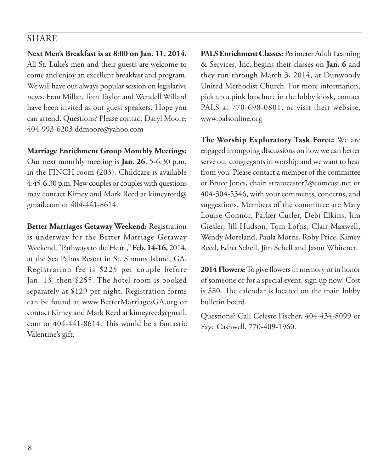### SHARE

**Next Men's Breakfast is at 8:00 on Jan. 11, 2014.**  All St. Luke's men and their guests are welcome to come and enjoy an excellent breakfast and program. We will have our always popular session on legislative news. Fran Millar, Tom Taylor and Wendell Willard have been invited as our guest speakers. Hope you can attend. Questions? Please contact Daryl Moore: 404-993-6203 ddmoore@yahoo.com

#### **Marriage Enrichment Group Monthly Meetings:**

Our next monthly meeting is **Jan. 26**, 5-6:30 p.m. in the FINCH room (203). Childcare is available 4:45-6:30 p.m. New couples or couples with questions may contact Kimey and Mark Reed at kimeyreed@ gmail.com or 404-441-8614.

**Better Marriages Getaway Weekend:** Registration is underway for the Better Marriage Getaway Weekend, "Pathways to the Heart," **Feb. 14-16,** 2014, at the Sea Palms Resort in St. Simons Island, GA. Registration fee is \$225 per couple before Jan. 13, then \$255. The hotel room is booked separately at \$129 per night. Registration forms can be found at www.BetterMarriagesGA.org or contact Kimey and Mark Reed at kimeyreed@gmail. com or 404-441-8614. This would be a fantastic Valentine's gift.

**PALS Enrichment Classes:** Perimeter Adult Learning & Services, Inc. begins their classes on **Jan. 6** and they run through March 3, 2014, at Dunwoody United Methodist Church. For more information, pick up a pink brochure in the lobby kiosk, contact PALS at 770-698-0801, or visit their website, www.palsonline.org

**The Worship Exploratory Task Force:** We are engaged in ongoing discussions on how we can better serve our congregants in worship and we want to hear from you! Please contact a member of the committee or Bruce Jones, chair: stratocaster2@comcast.net or 404-304-5346, with your comments, concerns, and suggestions. Members of the committee are Mary Louise Connor, Parker Cutler, Debi Elkins, Jim Giesler, Jill Hudson, Tom Loftis, Clair Maxwell, Wendy Moreland, Paula Morris, Roby Price, Kimey Reed, Edna Schell, Jim Schell and Jason Whitener.

**2014 Flowers:** To give flowers in memory or in honor of someone or for a special event, sign up now! Cost is \$80. The calendar is located on the main lobby bulletin board.

Questions? Call Celeste Fischer, 404-434-8099 or Faye Cashwell, 770-409-1960.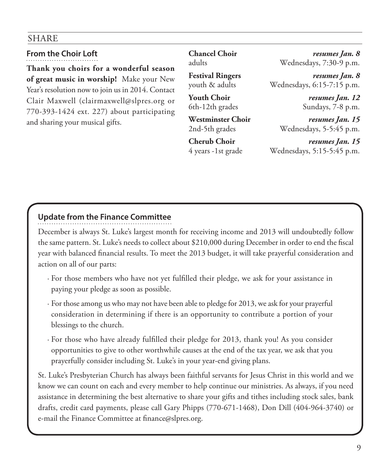# SHARE

**From the Choir Loft**

**Thank you choirs for a wonderful season of great music in worship!** Make your New Year's resolution now to join us in 2014. Contact Clair Maxwell (clairmaxwell@slpres.org or 770-393-1424 ext. 227) about participating and sharing your musical gifts.

**Chancel Choir** *resumes Jan. 8* adults Wednesdays, 7:30-9 p.m.

**Festival Ringers** *resumes Jan. 8* youth & adults Wednesdays, 6:15-7:15 p.m.

**Youth Choir** *resumes Jan. 12* 6th-12th grades Sundays, 7-8 p.m.

**Westminster Choir** *resumes Jan. 15* 2nd-5th grades Wednesdays, 5-5:45 p.m.

**Cherub Choir** *resumes Jan. 15* 4 years -1st grade Wednesdays, 5:15-5:45 p.m.

# **Update from the Finance Committee**

December is always St. Luke's largest month for receiving income and 2013 will undoubtedly follow the same pattern. St. Luke's needs to collect about \$210,000 during December in order to end the fiscal year with balanced financial results. To meet the 2013 budget, it will take prayerful consideration and action on all of our parts:

- · For those members who have not yet fulfilled their pledge, we ask for your assistance in paying your pledge as soon as possible.
- · For those among us who may not have been able to pledge for 2013, we ask for your prayerful consideration in determining if there is an opportunity to contribute a portion of your blessings to the church.
- · For those who have already fulfilled their pledge for 2013, thank you! As you consider opportunities to give to other worthwhile causes at the end of the tax year, we ask that you prayerfully consider including St. Luke's in your year-end giving plans.

St. Luke's Presbyterian Church has always been faithful servants for Jesus Christ in this world and we know we can count on each and every member to help continue our ministries. As always, if you need assistance in determining the best alternative to share your gifts and tithes including stock sales, bank drafts, credit card payments, please call Gary Phipps (770-671-1468), Don Dill (404-964-3740) or e-mail the Finance Committee at finance@slpres.org.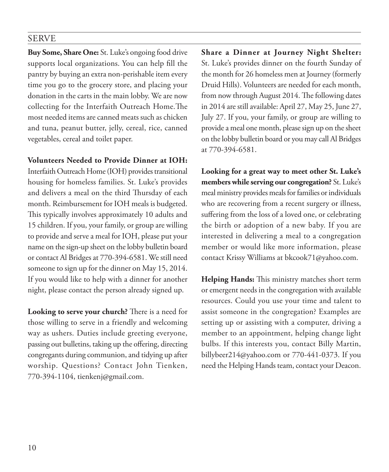#### SERVE

**Buy Some, Share One:** St. Luke's ongoing food drive supports local organizations. You can help fill the pantry by buying an extra non-perishable item every time you go to the grocery store, and placing your donation in the carts in the main lobby. We are now collecting for the Interfaith Outreach Home.The most needed items are canned meats such as chicken and tuna, peanut butter, jelly, cereal, rice, canned vegetables, cereal and toilet paper.

**Volunteers Needed to Provide Dinner at IOH:** 

Interfaith Outreach Home (IOH) provides transitional housing for homeless families. St. Luke's provides and delivers a meal on the third Thursday of each month. Reimbursement for IOH meals is budgeted. This typically involves approximately 10 adults and 15 children. If you, your family, or group are willing to provide and serve a meal for IOH, please put your name on the sign-up sheet on the lobby bulletin board or contact Al Bridges at 770-394-6581. We still need someone to sign up for the dinner on May 15, 2014. If you would like to help with a dinner for another night, please contact the person already signed up.

**Looking to serve your church?** There is a need for those willing to serve in a friendly and welcoming way as ushers. Duties include greeting everyone, passing out bulletins, taking up the offering, directing congregants during communion, and tidying up after worship. Questions? Contact John Tienken, 770-394-1104, tienkenj@gmail.com.

**Share a Dinner at Journey Night Shelter:** St. Luke's provides dinner on the fourth Sunday of the month for 26 homeless men at Journey (formerly Druid Hills). Volunteers are needed for each month, from now through August 2014. The following dates in 2014 are still available: April 27, May 25, June 27, July 27. If you, your family, or group are willing to provide a meal one month, please sign up on the sheet on the lobby bulletin board or you may call Al Bridges at 770-394-6581.

**Looking for a great way to meet other St. Luke's members while serving our congregation?** St. Luke's meal ministry provides meals for families or individuals who are recovering from a recent surgery or illness, suffering from the loss of a loved one, or celebrating the birth or adoption of a new baby. If you are interested in delivering a meal to a congregation member or would like more information, please contact Krissy Williams at bkcook71@yahoo.com.

**Helping Hands:** This ministry matches short term or emergent needs in the congregation with available resources. Could you use your time and talent to assist someone in the congregation? Examples are setting up or assisting with a computer, driving a member to an appointment, helping change light bulbs. If this interests you, contact Billy Martin, billybeer214@yahoo.com or 770-441-0373. If you need the Helping Hands team, contact your Deacon.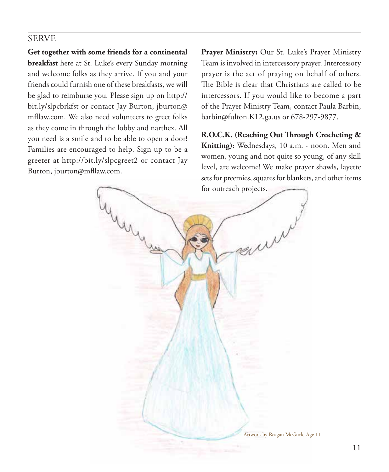### SERVE

**Get together with some friends for a continental breakfast** here at St. Luke's every Sunday morning and welcome folks as they arrive. If you and your friends could furnish one of these breakfasts, we will be glad to reimburse you. Please sign up on http:// bit.ly/slpcbrkfst or contact Jay Burton, jburton@ mfllaw.com. We also need volunteers to greet folks as they come in through the lobby and narthex. All you need is a smile and to be able to open a door! Families are encouraged to help. Sign up to be a greeter at http://bit.ly/slpcgreet2 or contact Jay Burton, jburton@mfllaw.com.

**Prayer Ministry:** Our St. Luke's Prayer Ministry Team is involved in intercessory prayer. Intercessory prayer is the act of praying on behalf of others. The Bible is clear that Christians are called to be intercessors. If you would like to become a part of the Prayer Ministry Team, contact Paula Barbin, barbin@fulton.K12.ga.us or 678-297-9877.

**R.O.C.K. (Reaching Out Through Crocheting & Knitting):** Wednesdays, 10 a.m. - noon. Men and women, young and not quite so young, of any skill level, are welcome! We make prayer shawls, layette sets for preemies, squares for blankets, and other items